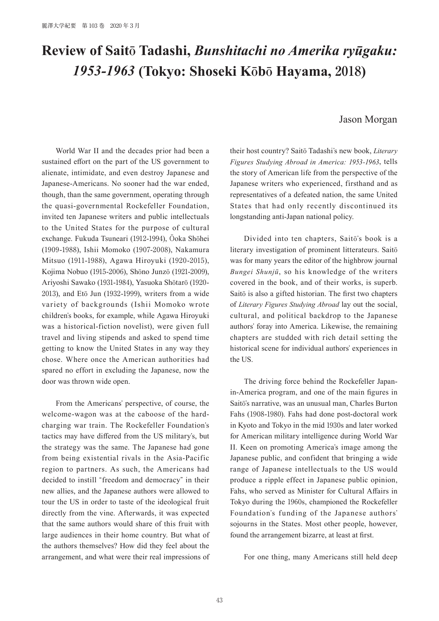## **Review of Saitō Tadashi,** *Bunshitachi no Amerika ryūgaku: 1953-1963* **(Tokyo: Shoseki Kōbō Hayama, 2018)**

## Jason Morgan

World War II and the decades prior had been a sustained effort on the part of the US government to alienate, intimidate, and even destroy Japanese and Japanese-Americans. No sooner had the war ended, though, than the same government, operating through the quasi-governmental Rockefeller Foundation, invited ten Japanese writers and public intellectuals to the United States for the purpose of cultural exchange. Fukuda Tsuneari (1912-1994), Ōoka Shōhei (1909-1988), Ishii Momoko (1907-2008), Nakamura Mitsuo (1911-1988), Agawa Hiroyuki (1920-2015), Kojima Nobuo (1915-2006), Shōno Junzō (1921-2009), Ariyoshi Sawako (1931-1984), Yasuoka Shōtarō (1920- 2013), and Etō Jun (1932-1999), writers from a wide variety of backgrounds (Ishii Momoko wrote children's books, for example, while Agawa Hiroyuki was a historical-fiction novelist), were given full travel and living stipends and asked to spend time getting to know the United States in any way they chose. Where once the American authorities had spared no effort in excluding the Japanese, now the door was thrown wide open.

From the Americans' perspective, of course, the welcome-wagon was at the caboose of the hardcharging war train. The Rockefeller Foundation's tactics may have differed from the US military's, but the strategy was the same. The Japanese had gone from being existential rivals in the Asia-Pacific region to partners. As such, the Americans had decided to instill "freedom and democracy" in their new allies, and the Japanese authors were allowed to tour the US in order to taste of the ideological fruit directly from the vine. Afterwards, it was expected that the same authors would share of this fruit with large audiences in their home country. But what of the authors themselves? How did they feel about the arrangement, and what were their real impressions of their host country? Saitō Tadashi's new book, *Literary Figures Studying Abroad in America: 1953-1963*, tells the story of American life from the perspective of the Japanese writers who experienced, firsthand and as representatives of a defeated nation, the same United States that had only recently discontinued its longstanding anti-Japan national policy.

Divided into ten chapters, Saitō's book is a literary investigation of prominent litterateurs. Saitō was for many years the editor of the highbrow journal *Bungei Shunjū*, so his knowledge of the writers covered in the book, and of their works, is superb. Saitō is also a gifted historian. The first two chapters of *Literary Figures Studying Abroad* lay out the social, cultural, and political backdrop to the Japanese authors' foray into America. Likewise, the remaining chapters are studded with rich detail setting the historical scene for individual authors' experiences in the US.

The driving force behind the Rockefeller Japanin-America program, and one of the main figures in Saitō's narrative, was an unusual man, Charles Burton Fahs (1908-1980). Fahs had done post-doctoral work in Kyoto and Tokyo in the mid 1930s and later worked for American military intelligence during World War II. Keen on promoting America's image among the Japanese public, and confident that bringing a wide range of Japanese intellectuals to the US would produce a ripple effect in Japanese public opinion, Fahs, who served as Minister for Cultural Affairs in Tokyo during the 1960s, championed the Rockefeller Foundation's funding of the Japanese authors' sojourns in the States. Most other people, however, found the arrangement bizarre, at least at first.

For one thing, many Americans still held deep